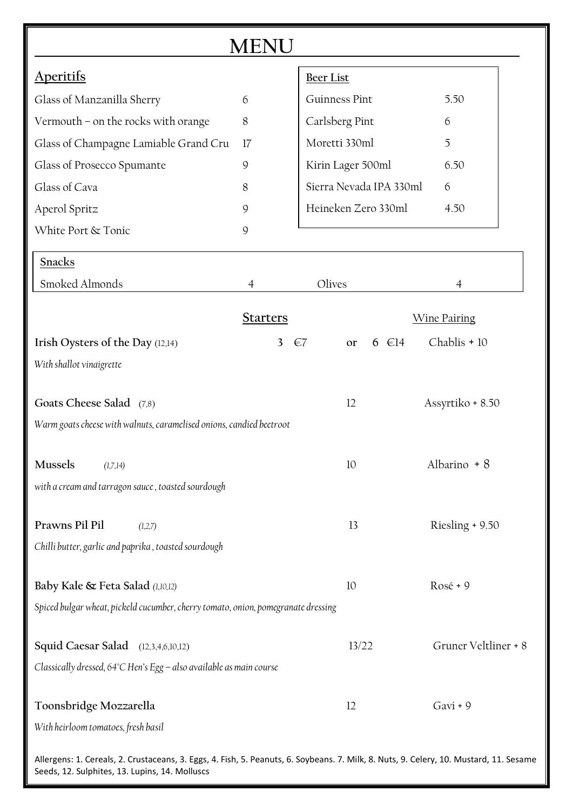| $M$ F $\overline{ }$                                                                                                                   |                 |                                         |                      |  |  |
|----------------------------------------------------------------------------------------------------------------------------------------|-----------------|-----------------------------------------|----------------------|--|--|
| Aperitifs                                                                                                                              |                 | <b>Beer List</b>                        |                      |  |  |
| Glass of Manzanilla Sherry                                                                                                             | 6               | Guinness Pint                           | 5.50                 |  |  |
| Vermouth - on the rocks with orange                                                                                                    | 8               | Carlsberg Pint                          | 6                    |  |  |
| Glass of Champagne Lamiable Grand Cru                                                                                                  | 17              | Moretti 330ml                           | 5                    |  |  |
| Glass of Prosecco Spumante                                                                                                             | 9               | Kirin Lager 500ml                       | 6.50                 |  |  |
| Glass of Cava                                                                                                                          | 8               | Sierra Nevada IPA 330ml                 | 6                    |  |  |
| Aperol Spritz                                                                                                                          | 9               | Heineken Zero 330ml<br>4.50             |                      |  |  |
| White Port & Tonic                                                                                                                     | 9               |                                         |                      |  |  |
| <b>Snacks</b>                                                                                                                          |                 |                                         |                      |  |  |
| Smoked Almonds                                                                                                                         | $\overline{4}$  | Olives                                  | 4                    |  |  |
|                                                                                                                                        | <b>Starters</b> |                                         | <b>Wine Pairing</b>  |  |  |
| Irish Oysters of the Day (12,14)                                                                                                       | 3               | $6 \in 14$<br>$\epsilon$ 7<br><b>or</b> | Chablis + 10         |  |  |
| With shallot vinaigrette                                                                                                               |                 |                                         |                      |  |  |
| Goats Cheese Salad (7,8)                                                                                                               |                 | 12                                      | Assyrtiko + 8.50     |  |  |
| Warm goats cheese with walnuts, caramelised onions, candied beetroot                                                                   |                 |                                         |                      |  |  |
|                                                                                                                                        |                 |                                         |                      |  |  |
| <b>Mussels</b><br>(1,7,14)                                                                                                             |                 | 10                                      | Albarino + 8         |  |  |
| with a cream and tarragon sauce, toasted sourdough                                                                                     |                 |                                         |                      |  |  |
| Prawns Pil Pil<br>(1,2,7)                                                                                                              |                 | 13                                      | Riesling + 9.50      |  |  |
| Chilli butter, garlic and paprika, toasted sourdough                                                                                   |                 |                                         |                      |  |  |
| Baby Kale & Feta Salad (1,10,12)                                                                                                       |                 | $10\,$                                  | Rosé + 9             |  |  |
| Spiced bulgar wheat, pickeld cucumber, cherry tomato, onion, pomegranate dressing                                                      |                 |                                         |                      |  |  |
| <b>Squid Caesar Salad</b> (12,3,4,6,10,12)                                                                                             |                 | 13/22                                   | Gruner Veltliner + 8 |  |  |
| Classically dressed, 64°C Hen's Egg - also available as main course                                                                    |                 |                                         |                      |  |  |
|                                                                                                                                        |                 |                                         |                      |  |  |
| Toonsbridge Mozzarella                                                                                                                 |                 | 12                                      | Gavi + 9             |  |  |
| With heirloom tomatoes, fresh basil                                                                                                    |                 |                                         |                      |  |  |
| Allergens: 1. Cereals, 2. Crustaceans, 3. Eggs, 4. Fish, 5. Peanuts, 6. Soybeans. 7. Milk, 8. Nuts, 9. Celery, 10. Mustard, 11. Sesame |                 |                                         |                      |  |  |

Seeds, 12. Sulphites, 13. Lupins, 14. Molluscs